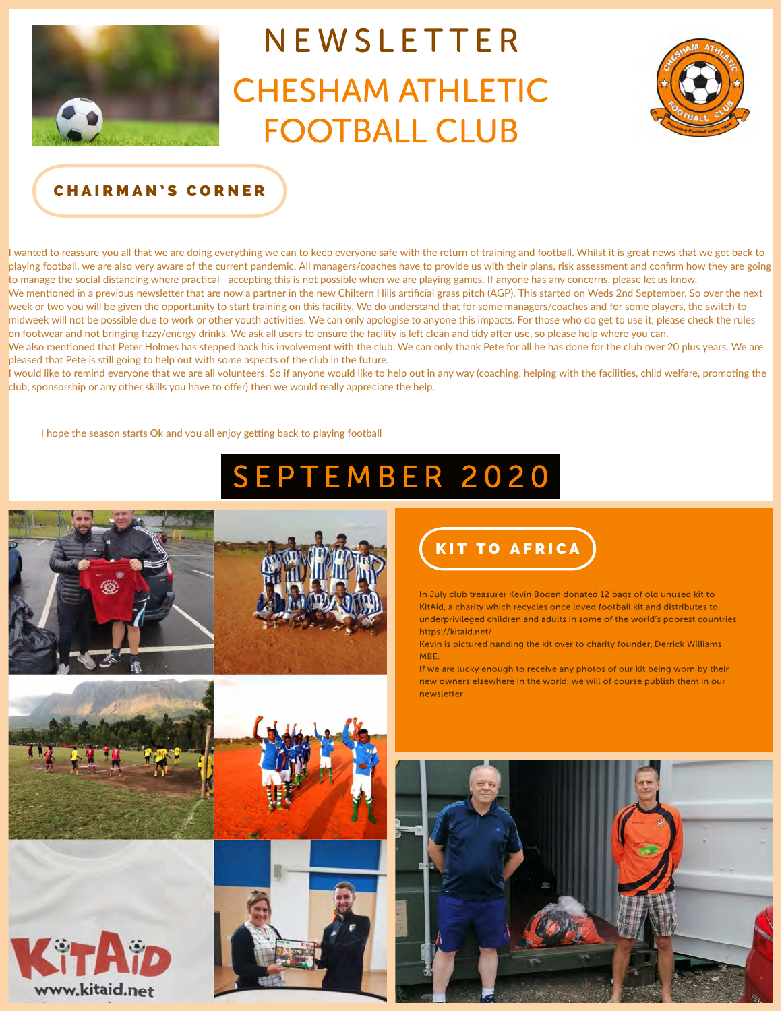

# NEWSLETTER **CHESHAM ATHLETIC FOOTBALL CLUB**



## CHAIRMAN'S CORNER

I wanted to reassure you all that we are doing everything we can to keep everyone safe with the return of training and football. Whilst it is great news that we get back to playing football, we are also very aware of the current pandemic. All managers/coaches have to provide us with their plans, risk assessment and confrm how they are going to manage the social distancing where practical - accepting this is not possible when we are playing games. If anyone has any concerns, please let us know. We mentioned in a previous newsletter that are now a partner in the new Chiltern Hills artificial grass pitch (AGP). This started on Weds 2nd September. So over the next week or two you will be given the opportunity to start training on this facility. We do understand that for some managers/coaches and for some players, the switch to midweek will not be possible due to work or other youth actvites. We can only apologise to anyone this impacts. For those who do get to use it, please check the rules on footwear and not bringing fizzy/energy drinks. We ask all users to ensure the facility is left clean and tidy after use, so please help where you can.

We also mentioned that Peter Holmes has stepped back his involvement with the club. We can only thank Pete for all he has done for the club over 20 plus years. We are pleased that Pete is stll going to help out with some aspects of the club in the future.

I would like to remind everyone that we are all volunteers. So if anyone would like to help out in any way (coaching, helping with the facilities, child welfare, promoting the club, sponsorship or any other skills you have to ofer) then we would really appreciate the help.

I hope the season starts Ok and you all enjoy getting back to playing football

## SEPTEMBER 2020













In July club treasurer Kevin Boden donated 12 bags of old unused kit to KitAid, a charity which recycles once loved football kit and distributes to underprivileged children and adults in some of the world's poorest countries. https://kitaid.net/

Kevin is pictured handing the kit over to charity founder, Derrick Williams MBE.

If we are lucky enough to receive any photos of our kit being worn by their new owners elsewhere in the world, we will of course publish them in our newsletter

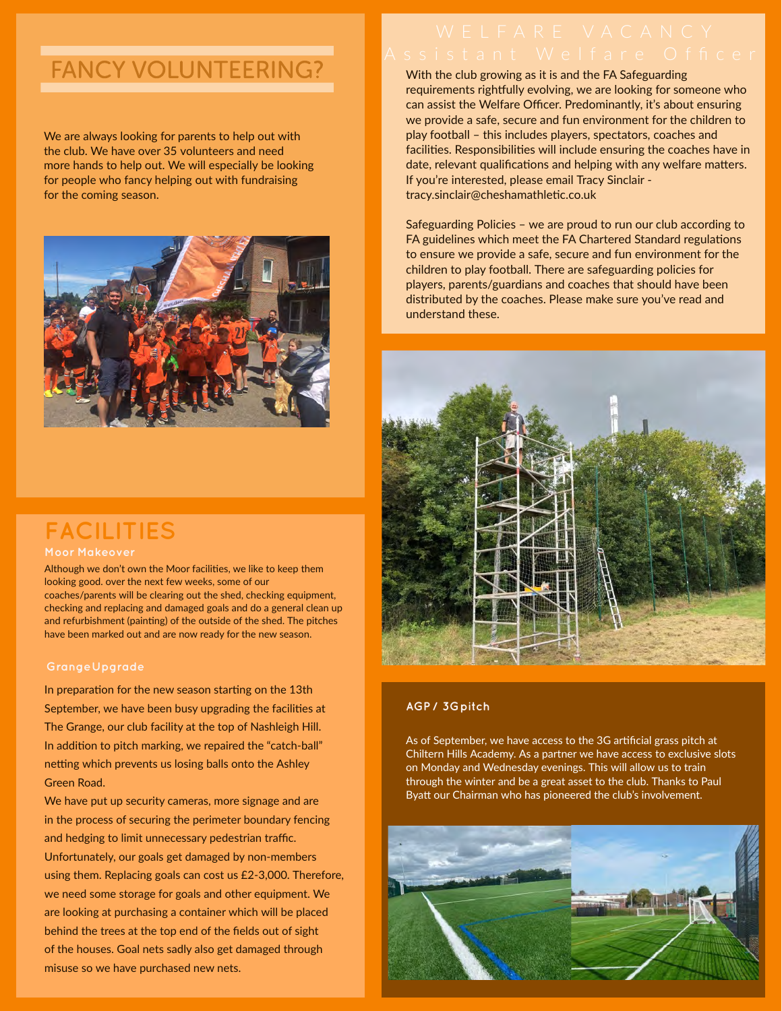## **FANCY VOLUNTEERING?**

We are always looking for parents to help out with the club. We have over 35 volunteers and need more hands to help out. We will especially be looking for people who fancy helping out with fundraising for the coming season.



## **FACILITIES**

### **Moor Makeove**

coaches/parents will be clearing out the shed, checking equipment, Although we don't own the Moor facilities, we like to keep them looking good. over the next few weeks, some of our checking and replacing and damaged goals and do a general clean up and refurbishment (painting) of the outside of the shed. The pitches have been marked out and are now ready for the new season.

### **GrangeUpgrade**

In addition to pitch marking, we repaired the "catch-ball" netting which prevents us losing balls onto the Ashley Green Road. In preparation for the new season starting on the 13th September, we have been busy upgrading the facilities at The Grange, our club facility at the top of Nashleigh Hill.

Unfortunately, our goals get damaged by non-members We have put up security cameras, more signage and are in the process of securing the perimeter boundary fencing and hedging to limit unnecessary pedestrian traffic. using them. Replacing goals can cost us £2-3,000. Therefore, we need some storage for goals and other equipment. We are looking at purchasing a container which will be placed behind the trees at the top end of the felds out of sight of the houses. Goal nets sadly also get damaged through misuse so we have purchased new nets.

With the club growing as it is and the FA Safeguarding tracy.sinclair@cheshamathletic.co.uk requirements rightfully evolving, we are looking for someone who can assist the Welfare Officer. Predominantly, it's about ensuring we provide a safe, secure and fun environment for the children to play football – this includes players, spectators, coaches and facilities. Responsibilities will include ensuring the coaches have in date, relevant qualifications and helping with any welfare matters. If you're interested, please email Tracy Sinclair -

Safeguarding Policies – we are proud to run our club according to FA guidelines which meet the FA Chartered Standard regulations to ensure we provide a safe, secure and fun environment for the children to play football. There are safeguarding policies for players, parents/guardians and coaches that should have been distributed by the coaches. Please make sure you've read and understand these.



### **AGP / 3Gpitch**

As of September, we have access to the 3G artificial grass pitch at Chiltern Hills Academy. As a partner we have access to exclusive slots on Monday and Wednesday evenings. This will allow us to train through the winter and be a great asset to the club. Thanks to Paul Byatt our Chairman who has pioneered the club's involvement.